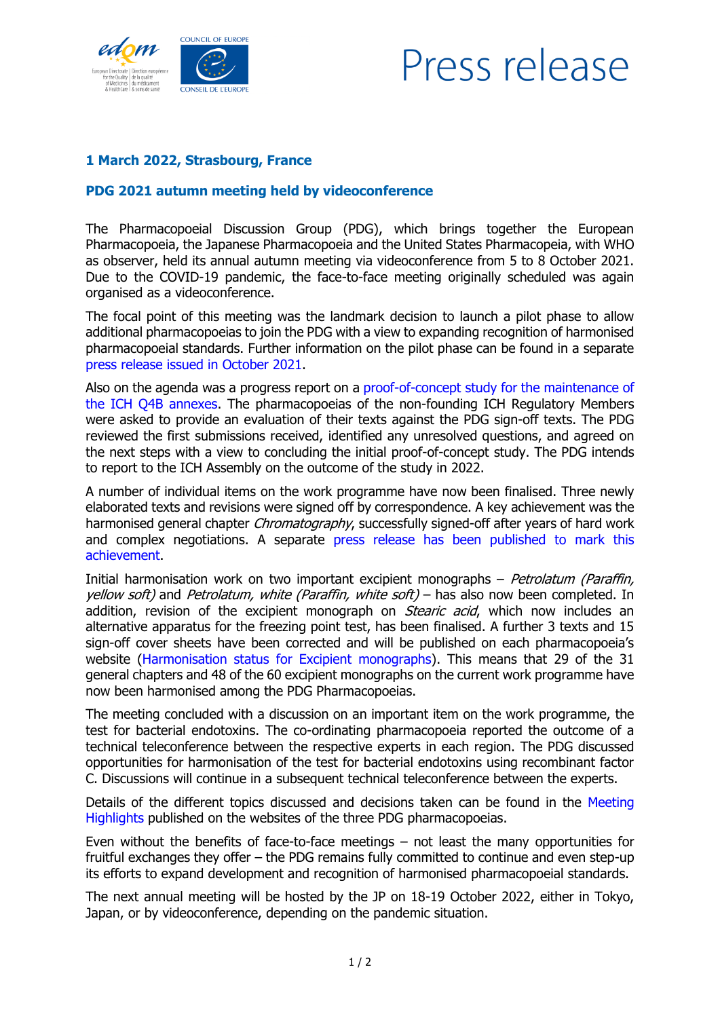



## **1 March 2022, Strasbourg, France**

## **PDG 2021 autumn meeting held by videoconference**

The Pharmacopoeial Discussion Group (PDG), which brings together the European Pharmacopoeia, the Japanese Pharmacopoeia and the United States Pharmacopeia, with WHO as observer, held its annual autumn meeting via videoconference from 5 to 8 October 2021. Due to the COVID-19 pandemic, the face-to-face meeting originally scheduled was again organised as a videoconference.

The focal point of this meeting was the landmark decision to launch a pilot phase to allow additional pharmacopoeias to join the PDG with a view to expanding recognition of harmonised pharmacopoeial standards. Further information on the pilot phase can be found in a separate [press release issued in October 2021.](https://www.edqm.eu/sites/default/files/medias/fichiers/PressRelease/press-release-pheur-pdg_prepares_pilot_for_global_expansion-october_2021.pdf)

Also on the agenda was a progress report on a [proof-of-concept study for the maintenance of](https://www.edqm.eu/en/news/pdgs-efforts-engage-other-ich-pharmacopoeias-q4b-annexes-maintenance-process)  [the ICH Q4B annexes.](https://www.edqm.eu/en/news/pdgs-efforts-engage-other-ich-pharmacopoeias-q4b-annexes-maintenance-process) The pharmacopoeias of the non-founding ICH Regulatory Members were asked to provide an evaluation of their texts against the PDG sign-off texts. The PDG reviewed the first submissions received, identified any unresolved questions, and agreed on the next steps with a view to concluding the initial proof-of-concept study. The PDG intends to report to the ICH Assembly on the outcome of the study in 2022.

A number of individual items on the work programme have now been finalised. Three newly elaborated texts and revisions were signed off by correspondence. A key achievement was the harmonised general chapter *Chromatography*, successfully signed-off after years of hard work and complex negotiations. A separate [press release has been published to mark this](https://www.edqm.eu/sites/default/files/press-release-pheur-pdg-revised-chapter-chromatography-november-2021.pdf)  [achievement.](https://www.edqm.eu/sites/default/files/press-release-pheur-pdg-revised-chapter-chromatography-november-2021.pdf)

Initial harmonisation work on two important excipient monographs  $-$  *Petrolatum (Paraffin,* yellow soft) and Petrolatum, white (Paraffin, white soft) – has also now been completed. In addition, revision of the excipient monograph on *Stearic acid*, which now includes an alternative apparatus for the freezing point test, has been finalised. A further 3 texts and 15 sign-off cover sheets have been corrected and will be published on each pharmacopoeia's website [\(Harmonisation status for Excipient monographs\)](https://www.edqm.eu/en/harmonisation-status-excipient-monographs-pdg). This means that 29 of the 31 general chapters and 48 of the 60 excipient monographs on the current work programme have now been harmonised among the PDG Pharmacopoeias.

The meeting concluded with a discussion on an important item on the work programme, the test for bacterial endotoxins. The co-ordinating pharmacopoeia reported the outcome of a technical teleconference between the respective experts in each region. The PDG discussed opportunities for harmonisation of the test for bacterial endotoxins using recombinant factor C. Discussions will continue in a subsequent technical teleconference between the experts.

Details of the different topics discussed and decisions taken can be found in the [Meeting](https://www.edqm.eu/sites/default/files/medias/fichiers/European_Pharmacopoeia/Pharmacopoeial_harmonisation/2021-10_pdg_strasbourg_meeting_highlights_final_edqm_website.pdf)  [Highlights](https://www.edqm.eu/sites/default/files/medias/fichiers/European_Pharmacopoeia/Pharmacopoeial_harmonisation/2021-10_pdg_strasbourg_meeting_highlights_final_edqm_website.pdf) published on the websites of the three PDG pharmacopoeias.

Even without the benefits of face-to-face meetings – not least the many opportunities for fruitful exchanges they offer – the PDG remains fully committed to continue and even step-up its efforts to expand development and recognition of harmonised pharmacopoeial standards.

The next annual meeting will be hosted by the JP on 18-19 October 2022, either in Tokyo, Japan, or by videoconference, depending on the pandemic situation.